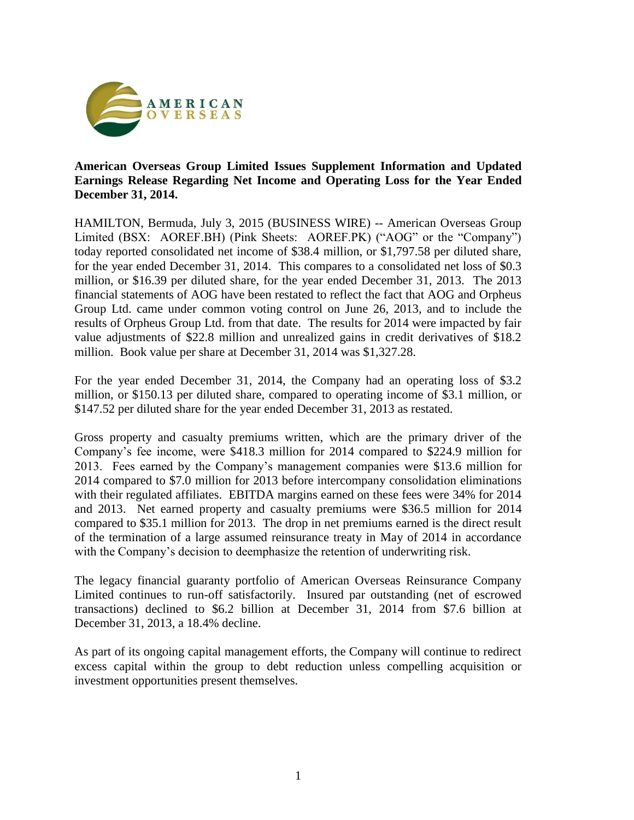

# **American Overseas Group Limited Issues Supplement Information and Updated Earnings Release Regarding Net Income and Operating Loss for the Year Ended December 31, 2014.**

HAMILTON, Bermuda, July 3, 2015 (BUSINESS WIRE) -- American Overseas Group Limited (BSX: AOREF.BH) (Pink Sheets: AOREF.PK) ("AOG" or the "Company") today reported consolidated net income of \$38.4 million, or \$1,797.58 per diluted share, for the year ended December 31, 2014. This compares to a consolidated net loss of \$0.3 million, or \$16.39 per diluted share, for the year ended December 31, 2013. The 2013 financial statements of AOG have been restated to reflect the fact that AOG and Orpheus Group Ltd. came under common voting control on June 26, 2013, and to include the results of Orpheus Group Ltd. from that date. The results for 2014 were impacted by fair value adjustments of \$22.8 million and unrealized gains in credit derivatives of \$18.2 million. Book value per share at December 31, 2014 was \$1,327.28.

For the year ended December 31, 2014, the Company had an operating loss of \$3.2 million, or \$150.13 per diluted share, compared to operating income of \$3.1 million, or \$147.52 per diluted share for the year ended December 31, 2013 as restated.

Gross property and casualty premiums written, which are the primary driver of the Company's fee income, were \$418.3 million for 2014 compared to \$224.9 million for 2013. Fees earned by the Company's management companies were \$13.6 million for 2014 compared to \$7.0 million for 2013 before intercompany consolidation eliminations with their regulated affiliates. EBITDA margins earned on these fees were 34% for 2014 and 2013. Net earned property and casualty premiums were \$36.5 million for 2014 compared to \$35.1 million for 2013. The drop in net premiums earned is the direct result of the termination of a large assumed reinsurance treaty in May of 2014 in accordance with the Company's decision to deemphasize the retention of underwriting risk.

The legacy financial guaranty portfolio of American Overseas Reinsurance Company Limited continues to run-off satisfactorily. Insured par outstanding (net of escrowed transactions) declined to \$6.2 billion at December 31, 2014 from \$7.6 billion at December 31, 2013, a 18.4% decline.

As part of its ongoing capital management efforts, the Company will continue to redirect excess capital within the group to debt reduction unless compelling acquisition or investment opportunities present themselves.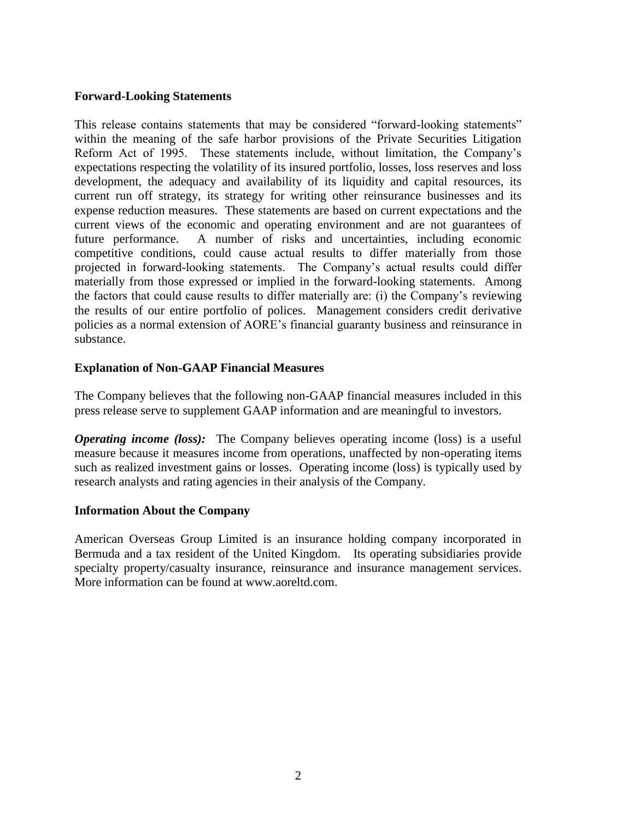### **Forward-Looking Statements**

This release contains statements that may be considered "forward-looking statements" within the meaning of the safe harbor provisions of the Private Securities Litigation Reform Act of 1995. These statements include, without limitation, the Company's expectations respecting the volatility of its insured portfolio, losses, loss reserves and loss development, the adequacy and availability of its liquidity and capital resources, its current run off strategy, its strategy for writing other reinsurance businesses and its expense reduction measures. These statements are based on current expectations and the current views of the economic and operating environment and are not guarantees of future performance. A number of risks and uncertainties, including economic competitive conditions, could cause actual results to differ materially from those projected in forward-looking statements. The Company's actual results could differ materially from those expressed or implied in the forward-looking statements. Among the factors that could cause results to differ materially are: (i) the Company's reviewing the results of our entire portfolio of polices. Management considers credit derivative policies as a normal extension of AORE's financial guaranty business and reinsurance in substance.

# **Explanation of Non-GAAP Financial Measures**

The Company believes that the following non-GAAP financial measures included in this press release serve to supplement GAAP information and are meaningful to investors.

*Operating income (loss):* The Company believes operating income (loss) is a useful measure because it measures income from operations, unaffected by non-operating items such as realized investment gains or losses. Operating income (loss) is typically used by research analysts and rating agencies in their analysis of the Company.

### **Information About the Company**

American Overseas Group Limited is an insurance holding company incorporated in Bermuda and a tax resident of the United Kingdom. Its operating subsidiaries provide specialty property/casualty insurance, reinsurance and insurance management services. More information can be found at www.aoreltd.com.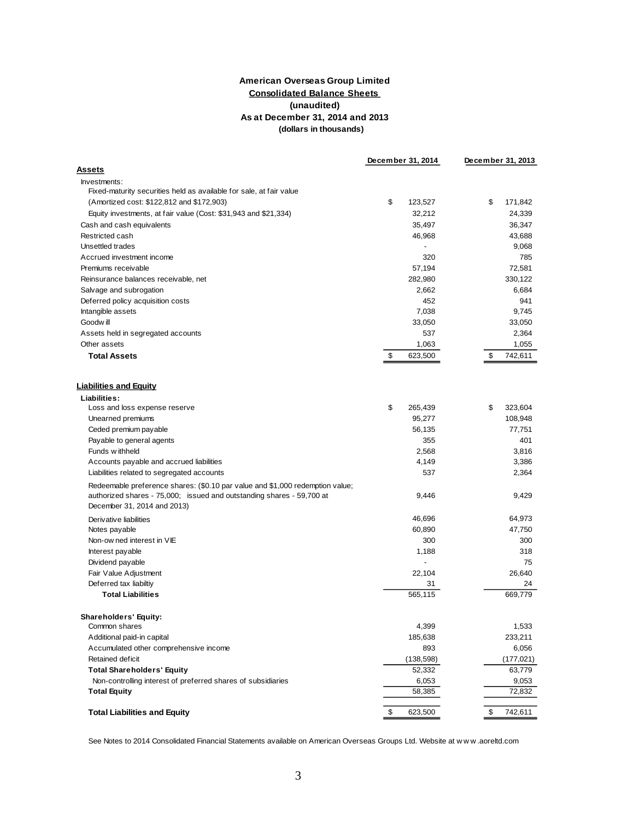### **Consolidated Balance Sheets (unaudited) As at December 31, 2014 and 2013 (dollars in thousands) American Overseas Group Limited**

|                                                                                                      | December 31, 2014        | December 31, 2013 |           |  |
|------------------------------------------------------------------------------------------------------|--------------------------|-------------------|-----------|--|
| Assets                                                                                               |                          |                   |           |  |
| Investments:                                                                                         |                          |                   |           |  |
| Fixed-maturity securities held as available for sale, at fair value                                  |                          |                   |           |  |
| (Amortized cost: \$122,812 and \$172,903)                                                            | \$<br>123,527            | \$                | 171,842   |  |
| Equity investments, at fair value (Cost: \$31,943 and \$21,334)                                      | 32,212                   |                   | 24,339    |  |
| Cash and cash equivalents                                                                            | 35,497                   |                   | 36,347    |  |
| Restricted cash                                                                                      | 46,968                   |                   | 43,688    |  |
| Unsettled trades                                                                                     | $\overline{\phantom{a}}$ |                   | 9,068     |  |
| Accrued investment income                                                                            | 320                      |                   | 785       |  |
| Premiums receivable                                                                                  | 57,194                   |                   | 72,581    |  |
| Reinsurance balances receivable, net                                                                 | 282,980                  |                   | 330,122   |  |
| Salvage and subrogation                                                                              | 2,662                    |                   | 6,684     |  |
| Deferred policy acquisition costs                                                                    | 452                      |                   | 941       |  |
| Intangible assets                                                                                    | 7,038                    |                   | 9,745     |  |
| Goodw ill                                                                                            | 33,050                   |                   | 33,050    |  |
| Assets held in segregated accounts                                                                   | 537                      |                   | 2,364     |  |
| Other assets                                                                                         | 1,063                    |                   | 1,055     |  |
| <b>Total Assets</b>                                                                                  | \$<br>623,500            | \$                | 742,611   |  |
|                                                                                                      |                          |                   |           |  |
| <b>Liabilities and Equity</b>                                                                        |                          |                   |           |  |
| Liabilities:                                                                                         |                          |                   |           |  |
| Loss and loss expense reserve                                                                        | \$<br>265,439            | \$                | 323,604   |  |
| Unearned premiums                                                                                    | 95,277                   |                   | 108,948   |  |
| Ceded premium payable                                                                                | 56,135                   |                   | 77,751    |  |
| Payable to general agents                                                                            | 355                      |                   | 401       |  |
| Funds withheld                                                                                       | 2,568                    |                   | 3,816     |  |
| Accounts payable and accrued liabilities                                                             | 4,149                    |                   | 3,386     |  |
| Liabilities related to segregated accounts                                                           | 537                      |                   | 2,364     |  |
| Redeemable preference shares: (\$0.10 par value and \$1,000 redemption value;                        |                          |                   |           |  |
| authorized shares - 75,000; issued and outstanding shares - 59,700 at<br>December 31, 2014 and 2013) | 9,446                    |                   | 9,429     |  |
| Derivative liabilities                                                                               | 46,696                   |                   | 64,973    |  |
| Notes payable                                                                                        | 60,890                   |                   | 47,750    |  |
| Non-ow ned interest in VIE                                                                           | 300                      |                   | 300       |  |
| Interest payable                                                                                     | 1,188                    |                   | 318       |  |
| Dividend payable                                                                                     |                          |                   | 75        |  |
| Fair Value Adjustment                                                                                | 22,104                   |                   | 26,640    |  |
| Deferred tax liabiltiy                                                                               | 31                       |                   | 24        |  |
| <b>Total Liabilities</b>                                                                             | 565,115                  |                   | 669,779   |  |
| Shareholders' Equity:                                                                                |                          |                   |           |  |
| Common shares                                                                                        | 4,399                    |                   | 1,533     |  |
| Additional paid-in capital                                                                           | 185,638                  |                   | 233,211   |  |
| Accumulated other comprehensive income                                                               | 893                      |                   | 6,056     |  |
| Retained deficit                                                                                     | (138, 598)               |                   | (177,021) |  |
| <b>Total Shareholders' Equity</b>                                                                    | 52,332                   |                   | 63,779    |  |
| Non-controlling interest of preferred shares of subsidiaries                                         | 6,053                    |                   | 9,053     |  |
| <b>Total Equity</b>                                                                                  | 58,385                   |                   | 72,832    |  |
| <b>Total Liabilities and Equity</b>                                                                  | \$<br>623,500            | \$                | 742,611   |  |

See Notes to 2014 Consolidated Financial Statements available on American Overseas Groups Ltd. Website at w w w .aoreltd.com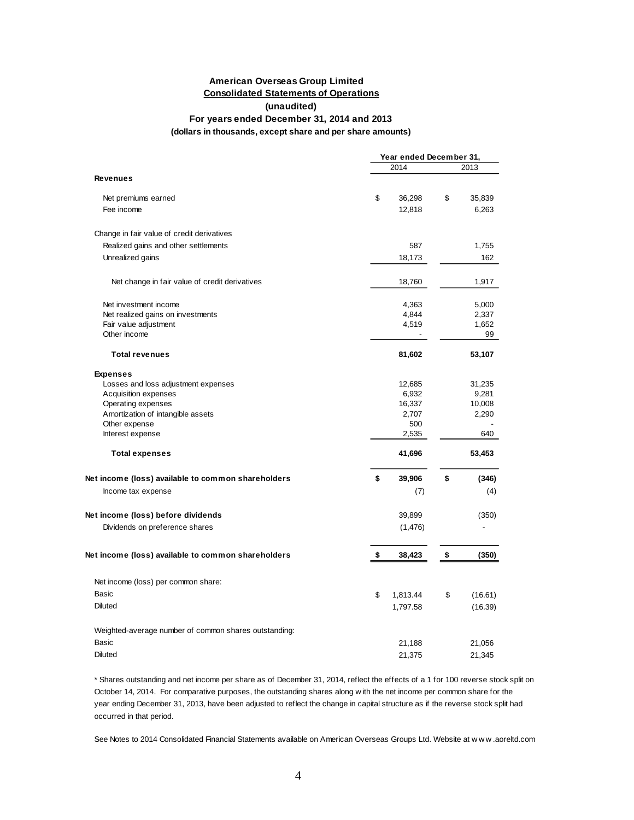### **American Overseas Group Limited Consolidated Statements of Operations**

**(unaudited)**

### **For years ended December 31, 2014 and 2013**

#### **(dollars in thousands, except share and per share amounts)**

|                                                         | Year ended December 31, |                 |  |  |  |  |  |
|---------------------------------------------------------|-------------------------|-----------------|--|--|--|--|--|
|                                                         | 2014                    | 2013            |  |  |  |  |  |
| <b>Revenues</b>                                         |                         |                 |  |  |  |  |  |
| Net premiums earned                                     | \$<br>36,298            | \$<br>35,839    |  |  |  |  |  |
| Fee income                                              | 12,818                  | 6,263           |  |  |  |  |  |
| Change in fair value of credit derivatives              |                         |                 |  |  |  |  |  |
| Realized gains and other settlements                    | 587                     | 1,755           |  |  |  |  |  |
| Unrealized gains                                        | 18,173                  | 162             |  |  |  |  |  |
| Net change in fair value of credit derivatives          | 18,760                  | 1,917           |  |  |  |  |  |
| Net investment income                                   | 4,363                   | 5,000           |  |  |  |  |  |
| Net realized gains on investments                       | 4,844                   | 2,337           |  |  |  |  |  |
| Fair value adjustment<br>Other income                   | 4,519                   | 1,652<br>99     |  |  |  |  |  |
| <b>Total revenues</b>                                   | 81,602                  | 53,107          |  |  |  |  |  |
| <b>Expenses</b>                                         |                         |                 |  |  |  |  |  |
| Losses and loss adjustment expenses                     | 12,685                  | 31,235          |  |  |  |  |  |
| Acquisition expenses                                    | 6,932                   | 9,281           |  |  |  |  |  |
| Operating expenses<br>Amortization of intangible assets | 16,337<br>2,707         | 10,008<br>2,290 |  |  |  |  |  |
| Other expense                                           | 500                     |                 |  |  |  |  |  |
| Interest expense                                        | 2,535                   | 640             |  |  |  |  |  |
| <b>Total expenses</b>                                   | 41,696                  | 53,453          |  |  |  |  |  |
| Net income (loss) available to common shareholders      | \$<br>39,906            | \$<br>(346)     |  |  |  |  |  |
| Income tax expense                                      | (7)                     | (4)             |  |  |  |  |  |
| Net income (loss) before dividends                      | 39,899                  | (350)           |  |  |  |  |  |
| Dividends on preference shares                          | (1, 476)                |                 |  |  |  |  |  |
| Net income (loss) available to common shareholders      | \$<br>38,423            | \$<br>(350)     |  |  |  |  |  |
| Net income (loss) per common share:                     |                         |                 |  |  |  |  |  |
| Basic                                                   | \$<br>1,813.44          | \$<br>(16.61)   |  |  |  |  |  |
| <b>Diluted</b>                                          | 1,797.58                | (16.39)         |  |  |  |  |  |
| Weighted-average number of common shares outstanding:   |                         |                 |  |  |  |  |  |
| <b>Basic</b>                                            | 21,188                  | 21,056          |  |  |  |  |  |
| <b>Diluted</b>                                          | 21,375                  | 21,345          |  |  |  |  |  |

\* Shares outstanding and net income per share as of December 31, 2014, reflect the effects of a 1 for 100 reverse stock split on October 14, 2014. For comparative purposes, the outstanding shares along w ith the net income per common share for the year ending December 31, 2013, have been adjusted to reflect the change in capital structure as if the reverse stock split had occurred in that period.

See Notes to 2014 Consolidated Financial Statements available on American Overseas Groups Ltd. Website at w w w .aoreltd.com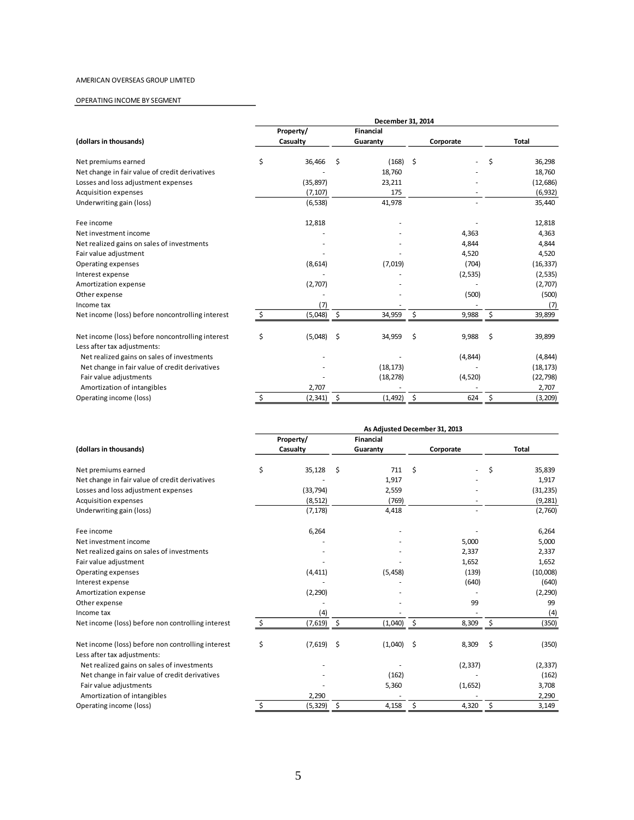#### AMERICAN OVERSEAS GROUP LIMITED

#### OPERATING INCOME BY SEGMENT

|                                                                                 | December 31, 2014 |           |                     |                  |                     |           |                     |           |  |  |  |
|---------------------------------------------------------------------------------|-------------------|-----------|---------------------|------------------|---------------------|-----------|---------------------|-----------|--|--|--|
|                                                                                 |                   | Property/ |                     | <b>Financial</b> |                     |           |                     |           |  |  |  |
| (dollars in thousands)                                                          |                   | Casualty  |                     | Guaranty         |                     | Corporate | <b>Total</b>        |           |  |  |  |
| Net premiums earned                                                             | \$                | 36,466    | Ś.                  | (168)            | \$                  |           | \$                  | 36,298    |  |  |  |
| Net change in fair value of credit derivatives                                  |                   |           |                     | 18,760           |                     |           |                     | 18,760    |  |  |  |
| Losses and loss adjustment expenses                                             |                   | (35, 897) |                     | 23,211           |                     |           |                     | (12, 686) |  |  |  |
| <b>Acquisition expenses</b>                                                     |                   | (7, 107)  |                     | 175              |                     |           |                     | (6, 932)  |  |  |  |
| Underwriting gain (loss)                                                        |                   | (6, 538)  |                     | 41,978           |                     |           |                     | 35,440    |  |  |  |
| Fee income                                                                      |                   | 12,818    |                     |                  |                     |           |                     | 12,818    |  |  |  |
| Net investment income                                                           |                   |           |                     |                  |                     | 4,363     |                     | 4,363     |  |  |  |
| Net realized gains on sales of investments                                      |                   |           |                     |                  |                     | 4,844     |                     | 4,844     |  |  |  |
| Fair value adjustment                                                           |                   |           |                     |                  |                     | 4,520     |                     | 4,520     |  |  |  |
| Operating expenses                                                              |                   | (8,614)   |                     | (7,019)          |                     | (704)     |                     | (16, 337) |  |  |  |
| Interest expense                                                                |                   |           |                     |                  |                     | (2, 535)  |                     | (2, 535)  |  |  |  |
| Amortization expense                                                            |                   | (2,707)   |                     |                  |                     |           |                     | (2,707)   |  |  |  |
| Other expense                                                                   |                   |           |                     |                  |                     | (500)     |                     | (500)     |  |  |  |
| Income tax                                                                      |                   | (7)       |                     |                  |                     |           |                     | (7)       |  |  |  |
| Net income (loss) before noncontrolling interest                                | \$                | (5,048)   | $\ddot{\mathsf{S}}$ | 34,959           | $\ddot{\mathsf{s}}$ | 9,988     | $\ddot{\mathsf{s}}$ | 39,899    |  |  |  |
| Net income (loss) before noncontrolling interest<br>Less after tax adjustments: | \$                | (5,048)   | Ŝ.                  | 34,959           | \$                  | 9,988     | \$                  | 39,899    |  |  |  |
| Net realized gains on sales of investments                                      |                   |           |                     |                  |                     | (4, 844)  |                     | (4, 844)  |  |  |  |
| Net change in fair value of credit derivatives                                  |                   |           |                     | (18, 173)        |                     |           |                     | (18, 173) |  |  |  |
| Fair value adjustments                                                          |                   |           |                     | (18, 278)        |                     | (4, 520)  |                     | (22, 798) |  |  |  |
| Amortization of intangibles                                                     |                   | 2,707     |                     |                  |                     |           |                     | 2,707     |  |  |  |
| Operating income (loss)                                                         | \$                | (2, 341)  | \$                  | (1, 492)         | \$                  | 624       | \$                  | (3, 209)  |  |  |  |

|                                                   | As Adjusted December 31, 2013 |           |      |           |                     |           |              |           |  |  |  |
|---------------------------------------------------|-------------------------------|-----------|------|-----------|---------------------|-----------|--------------|-----------|--|--|--|
|                                                   |                               | Property/ |      | Financial |                     |           |              |           |  |  |  |
| (dollars in thousands)                            | Casualty                      |           |      | Guaranty  |                     | Corporate | <b>Total</b> |           |  |  |  |
|                                                   |                               |           |      |           |                     |           |              |           |  |  |  |
| Net premiums earned                               | \$                            | 35,128    | Ś    | 711       | \$                  |           | \$           | 35,839    |  |  |  |
| Net change in fair value of credit derivatives    |                               |           |      | 1,917     |                     |           |              | 1,917     |  |  |  |
| Losses and loss adjustment expenses               |                               | (33, 794) |      | 2,559     |                     |           |              | (31, 235) |  |  |  |
| Acquisition expenses                              |                               | (8, 512)  |      | (769)     |                     |           |              | (9, 281)  |  |  |  |
| Underwriting gain (loss)                          |                               | (7, 178)  |      | 4,418     |                     |           |              | (2,760)   |  |  |  |
| Fee income                                        |                               | 6,264     |      |           |                     |           |              | 6,264     |  |  |  |
| Net investment income                             |                               |           |      |           |                     | 5,000     |              | 5,000     |  |  |  |
| Net realized gains on sales of investments        |                               |           |      |           |                     | 2,337     |              | 2,337     |  |  |  |
| Fair value adjustment                             |                               |           |      |           |                     | 1,652     |              | 1,652     |  |  |  |
| Operating expenses                                |                               | (4, 411)  |      | (5, 458)  |                     | (139)     |              | (10,008)  |  |  |  |
| Interest expense                                  |                               |           |      |           |                     | (640)     |              | (640)     |  |  |  |
| Amortization expense                              |                               | (2,290)   |      |           |                     |           |              | (2, 290)  |  |  |  |
| Other expense                                     |                               |           |      |           |                     | 99        |              | 99        |  |  |  |
| Income tax                                        |                               | (4)       |      |           |                     |           |              | (4)       |  |  |  |
| Net income (loss) before non controlling interest | \$                            | (7,619)   | - \$ | (1,040)   | $\ddot{\mathsf{s}}$ | 8,309     | \$           | (350)     |  |  |  |
| Net income (loss) before non controlling interest | \$                            | (7,619)   | -\$  | (1,040)   | \$                  | 8,309     | \$           | (350)     |  |  |  |
| Less after tax adjustments:                       |                               |           |      |           |                     |           |              |           |  |  |  |
| Net realized gains on sales of investments        |                               |           |      |           |                     | (2, 337)  |              | (2, 337)  |  |  |  |
| Net change in fair value of credit derivatives    |                               |           |      | (162)     |                     |           |              | (162)     |  |  |  |
| Fair value adjustments                            |                               |           |      | 5,360     |                     | (1,652)   |              | 3,708     |  |  |  |
| Amortization of intangibles                       |                               | 2,290     |      |           |                     |           |              | 2,290     |  |  |  |
| Operating income (loss)                           | \$                            | (5, 329)  | \$   | 4,158     | \$                  | 4,320     | \$           | 3,149     |  |  |  |